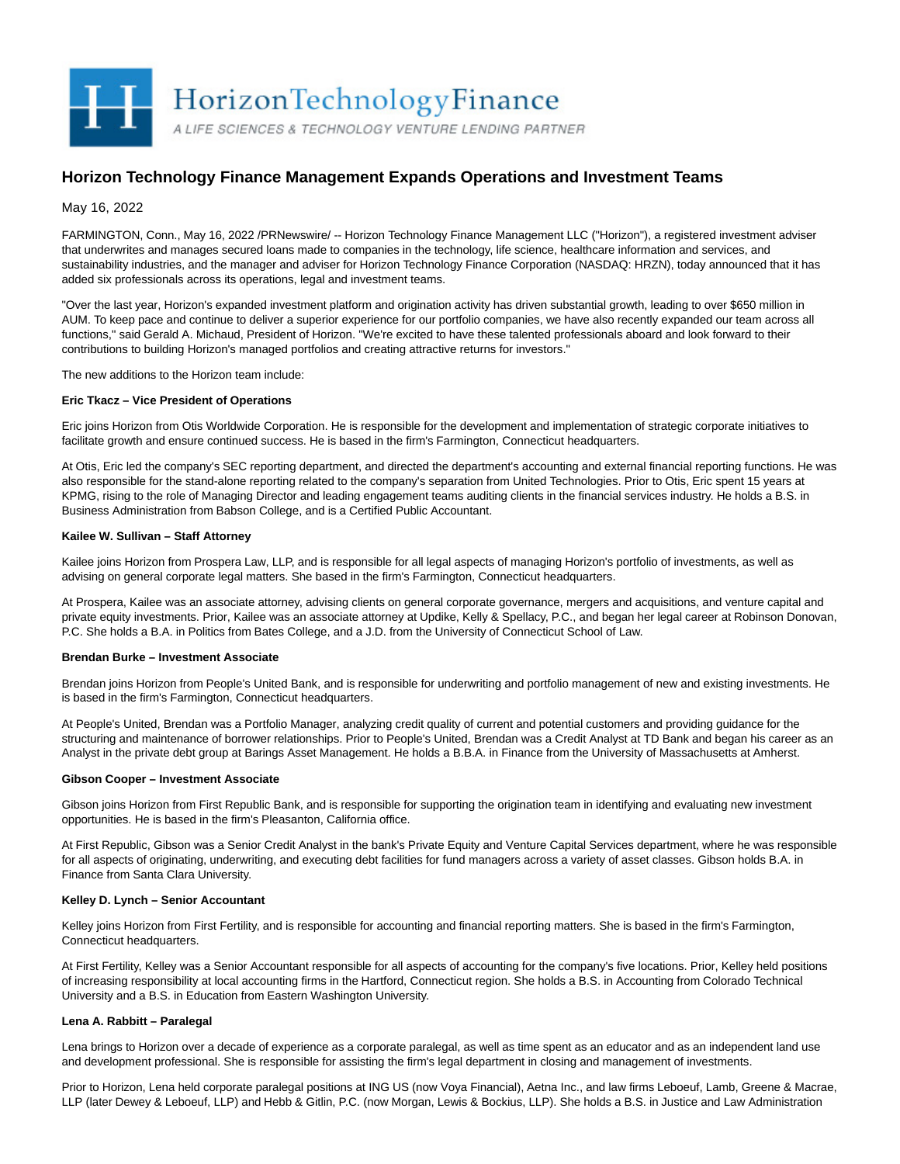

# **Horizon Technology Finance Management Expands Operations and Investment Teams**

May 16, 2022

FARMINGTON, Conn., May 16, 2022 /PRNewswire/ -- Horizon Technology Finance Management LLC ("Horizon"), a registered investment adviser that underwrites and manages secured loans made to companies in the technology, life science, healthcare information and services, and sustainability industries, and the manager and adviser for Horizon Technology Finance Corporation (NASDAQ: HRZN), today announced that it has added six professionals across its operations, legal and investment teams.

"Over the last year, Horizon's expanded investment platform and origination activity has driven substantial growth, leading to over \$650 million in AUM. To keep pace and continue to deliver a superior experience for our portfolio companies, we have also recently expanded our team across all functions," said Gerald A. Michaud, President of Horizon. "We're excited to have these talented professionals aboard and look forward to their contributions to building Horizon's managed portfolios and creating attractive returns for investors."

The new additions to the Horizon team include:

## **Eric Tkacz – Vice President of Operations**

Eric joins Horizon from Otis Worldwide Corporation. He is responsible for the development and implementation of strategic corporate initiatives to facilitate growth and ensure continued success. He is based in the firm's Farmington, Connecticut headquarters.

At Otis, Eric led the company's SEC reporting department, and directed the department's accounting and external financial reporting functions. He was also responsible for the stand-alone reporting related to the company's separation from United Technologies. Prior to Otis, Eric spent 15 years at KPMG, rising to the role of Managing Director and leading engagement teams auditing clients in the financial services industry. He holds a B.S. in Business Administration from Babson College, and is a Certified Public Accountant.

## **Kailee W. Sullivan – Staff Attorney**

Kailee joins Horizon from Prospera Law, LLP, and is responsible for all legal aspects of managing Horizon's portfolio of investments, as well as advising on general corporate legal matters. She based in the firm's Farmington, Connecticut headquarters.

At Prospera, Kailee was an associate attorney, advising clients on general corporate governance, mergers and acquisitions, and venture capital and private equity investments. Prior, Kailee was an associate attorney at Updike, Kelly & Spellacy, P.C., and began her legal career at Robinson Donovan, P.C. She holds a B.A. in Politics from Bates College, and a J.D. from the University of Connecticut School of Law.

### **Brendan Burke – Investment Associate**

Brendan joins Horizon from People's United Bank, and is responsible for underwriting and portfolio management of new and existing investments. He is based in the firm's Farmington, Connecticut headquarters.

At People's United, Brendan was a Portfolio Manager, analyzing credit quality of current and potential customers and providing guidance for the structuring and maintenance of borrower relationships. Prior to People's United, Brendan was a Credit Analyst at TD Bank and began his career as an Analyst in the private debt group at Barings Asset Management. He holds a B.B.A. in Finance from the University of Massachusetts at Amherst.

#### **Gibson Cooper – Investment Associate**

Gibson joins Horizon from First Republic Bank, and is responsible for supporting the origination team in identifying and evaluating new investment opportunities. He is based in the firm's Pleasanton, California office.

At First Republic, Gibson was a Senior Credit Analyst in the bank's Private Equity and Venture Capital Services department, where he was responsible for all aspects of originating, underwriting, and executing debt facilities for fund managers across a variety of asset classes. Gibson holds B.A. in Finance from Santa Clara University.

# **Kelley D. Lynch – Senior Accountant**

Kelley joins Horizon from First Fertility, and is responsible for accounting and financial reporting matters. She is based in the firm's Farmington, Connecticut headquarters.

At First Fertility, Kelley was a Senior Accountant responsible for all aspects of accounting for the company's five locations. Prior, Kelley held positions of increasing responsibility at local accounting firms in the Hartford, Connecticut region. She holds a B.S. in Accounting from Colorado Technical University and a B.S. in Education from Eastern Washington University.

# **Lena A. Rabbitt – Paralegal**

Lena brings to Horizon over a decade of experience as a corporate paralegal, as well as time spent as an educator and as an independent land use and development professional. She is responsible for assisting the firm's legal department in closing and management of investments.

Prior to Horizon, Lena held corporate paralegal positions at ING US (now Voya Financial), Aetna Inc., and law firms Leboeuf, Lamb, Greene & Macrae, LLP (later Dewey & Leboeuf, LLP) and Hebb & Gitlin, P.C. (now Morgan, Lewis & Bockius, LLP). She holds a B.S. in Justice and Law Administration